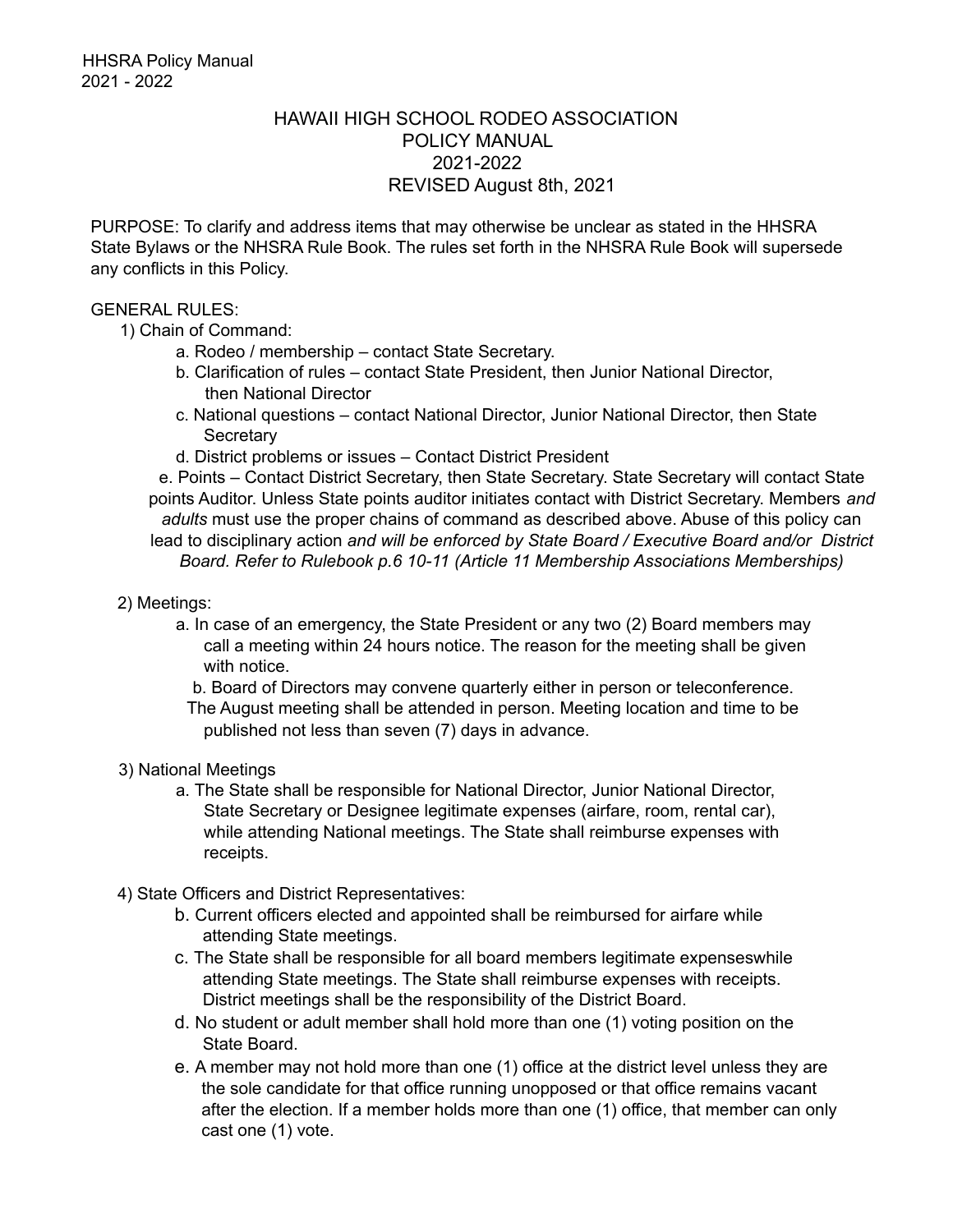## HAWAII HIGH SCHOOL RODEO ASSOCIATION POLICY MANUAL 2021-2022 REVISED August 8th, 2021

PURPOSE: To clarify and address items that may otherwise be unclear as stated in the HHSRA State Bylaws or the NHSRA Rule Book. The rules set forth in the NHSRA Rule Book will supersede any conflicts in this Policy.

## GENERAL RULES:

- 1) Chain of Command:
	- a. Rodeo / membership contact State Secretary.
	- b. Clarification of rules contact State President, then Junior National Director, then National Director
	- c. National questions contact National Director, Junior National Director, then State **Secretary**
	- d. District problems or issues Contact District President

e. Points – Contact District Secretary, then State Secretary. State Secretary will contact State points Auditor. Unless State points auditor initiates contact with District Secretary. Members *and adults* must use the proper chains of command as described above. Abuse of this policy can lead to disciplinary action *and will be enforced by State Board / Executive Board and/or District Board. Refer to Rulebook p.6 10-11 (Article 11 Membership Associations Memberships)*

- 2) Meetings:
	- a. In case of an emergency, the State President or any two (2) Board members may call a meeting within 24 hours notice. The reason for the meeting shall be given with notice.

b. Board of Directors may convene quarterly either in person or teleconference. The August meeting shall be attended in person. Meeting location and time to be published not less than seven (7) days in advance.

- 3) National Meetings
	- a. The State shall be responsible for National Director, Junior National Director, State Secretary or Designee legitimate expenses (airfare, room, rental car), while attending National meetings. The State shall reimburse expenses with receipts.
- 4) State Officers and District Representatives:
	- b. Current officers elected and appointed shall be reimbursed for airfare while attending State meetings.
	- c. The State shall be responsible for all board members legitimate expenseswhile attending State meetings. The State shall reimburse expenses with receipts. District meetings shall be the responsibility of the District Board.
	- d. No student or adult member shall hold more than one (1) voting position on the State Board.
	- e. A member may not hold more than one (1) office at the district level unless they are the sole candidate for that office running unopposed or that office remains vacant after the election. If a member holds more than one (1) office, that member can only cast one (1) vote.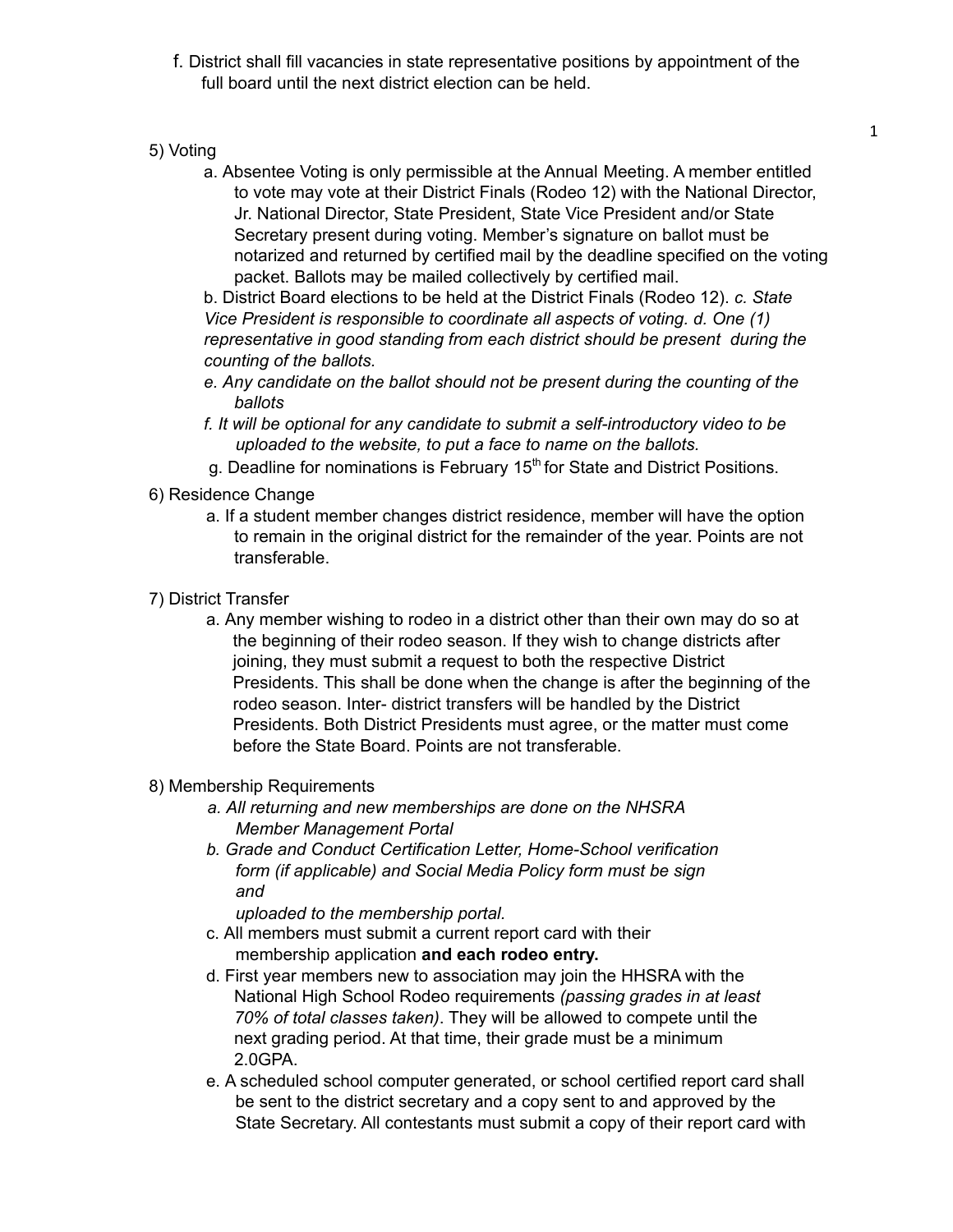- f. District shall fill vacancies in state representative positions by appointment of the full board until the next district election can be held.
- 5) Voting
	- a. Absentee Voting is only permissible at the Annual Meeting. A member entitled to vote may vote at their District Finals (Rodeo 12) with the National Director, Jr. National Director, State President, State Vice President and/or State Secretary present during voting. Member's signature on ballot must be notarized and returned by certified mail by the deadline specified on the voting packet. Ballots may be mailed collectively by certified mail.

b. District Board elections to be held at the District Finals (Rodeo 12). *c. State Vice President is responsible to coordinate all aspects of voting. d. One (1) representative in good standing from each district should be present during the counting of the ballots.*

- *e. Any candidate on the ballot should not be present during the counting of the ballots*
- *f. It will be optional for any candidate to submit a self-introductory video to be uploaded to the website, to put a face to name on the ballots.*
- g. Deadline for nominations is February 15<sup>th</sup> for State and District Positions.
- 6) Residence Change
	- a. If a student member changes district residence, member will have the option to remain in the original district for the remainder of the year. Points are not transferable.
- 7) District Transfer
	- a. Any member wishing to rodeo in a district other than their own may do so at the beginning of their rodeo season. If they wish to change districts after joining, they must submit a request to both the respective District Presidents. This shall be done when the change is after the beginning of the rodeo season. Inter- district transfers will be handled by the District Presidents. Both District Presidents must agree, or the matter must come before the State Board. Points are not transferable.
- 8) Membership Requirements
	- *a. All returning and new memberships are done on the NHSRA Member Management Portal*
	- *b. Grade and Conduct Certification Letter, Home-School verification form (if applicable) and Social Media Policy form must be sign and*

*uploaded to the membership portal.*

- c. All members must submit a current report card with their membership application **and each rodeo entry.**
- d. First year members new to association may join the HHSRA with the National High School Rodeo requirements *(passing grades in at least 70% of total classes taken)*. They will be allowed to compete until the next grading period. At that time, their grade must be a minimum 2.0GPA.
- e. A scheduled school computer generated, or school certified report card shall be sent to the district secretary and a copy sent to and approved by the State Secretary. All contestants must submit a copy of their report card with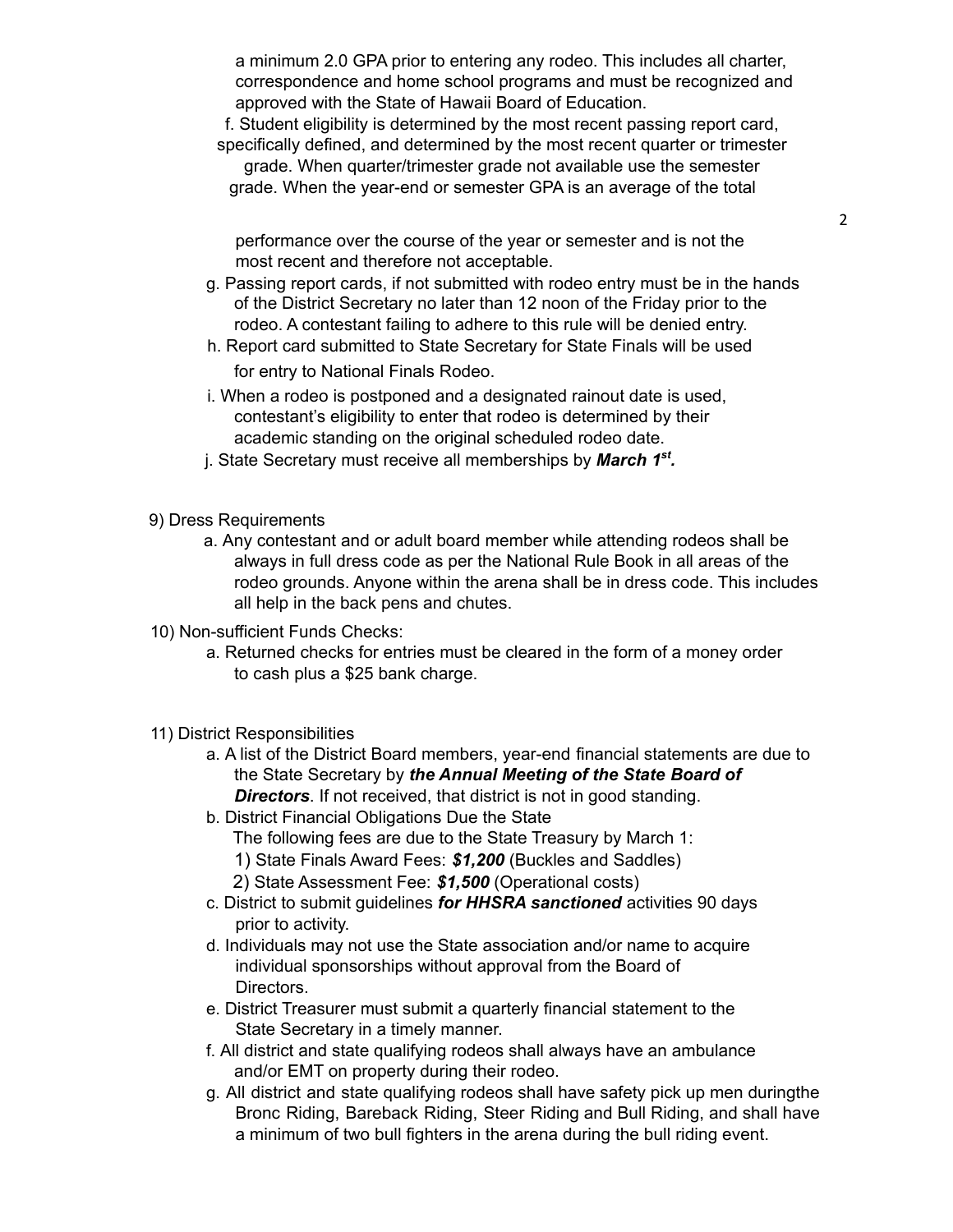a minimum 2.0 GPA prior to entering any rodeo. This includes all charter, correspondence and home school programs and must be recognized and approved with the State of Hawaii Board of Education.

f. Student eligibility is determined by the most recent passing report card, specifically defined, and determined by the most recent quarter or trimester

grade. When quarter/trimester grade not available use the semester grade. When the year-end or semester GPA is an average of the total

performance over the course of the year or semester and is not the most recent and therefore not acceptable.

- g. Passing report cards, if not submitted with rodeo entry must be in the hands of the District Secretary no later than 12 noon of the Friday prior to the rodeo. A contestant failing to adhere to this rule will be denied entry.
- h. Report card submitted to State Secretary for State Finals will be used for entry to National Finals Rodeo.
- i. When a rodeo is postponed and a designated rainout date is used, contestant's eligibility to enter that rodeo is determined by their academic standing on the original scheduled rodeo date.
- j. State Secretary must receive all memberships by *March 1 st .*
- 9) Dress Requirements
	- a. Any contestant and or adult board member while attending rodeos shall be always in full dress code as per the National Rule Book in all areas of the rodeo grounds. Anyone within the arena shall be in dress code. This includes all help in the back pens and chutes.
- 10) Non-sufficient Funds Checks:
	- a. Returned checks for entries must be cleared in the form of a money order to cash plus a \$25 bank charge.
- 11) District Responsibilities
	- a. A list of the District Board members, year-end financial statements are due to the State Secretary by *the Annual Meeting of the State Board of Directors*. If not received, that district is not in good standing.
	- b. District Financial Obligations Due the State
		- The following fees are due to the State Treasury by March 1:
		- 1) State Finals Award Fees: *\$1,200* (Buckles and Saddles)
		- 2) State Assessment Fee: *\$1,500* (Operational costs)
	- c. District to submit guidelines *for HHSRA sanctioned* activities 90 days prior to activity.
	- d. Individuals may not use the State association and/or name to acquire individual sponsorships without approval from the Board of **Directors**
	- e. District Treasurer must submit a quarterly financial statement to the State Secretary in a timely manner.
	- f. All district and state qualifying rodeos shall always have an ambulance and/or EMT on property during their rodeo.
	- g. All district and state qualifying rodeos shall have safety pick up men duringthe Bronc Riding, Bareback Riding, Steer Riding and Bull Riding, and shall have a minimum of two bull fighters in the arena during the bull riding event.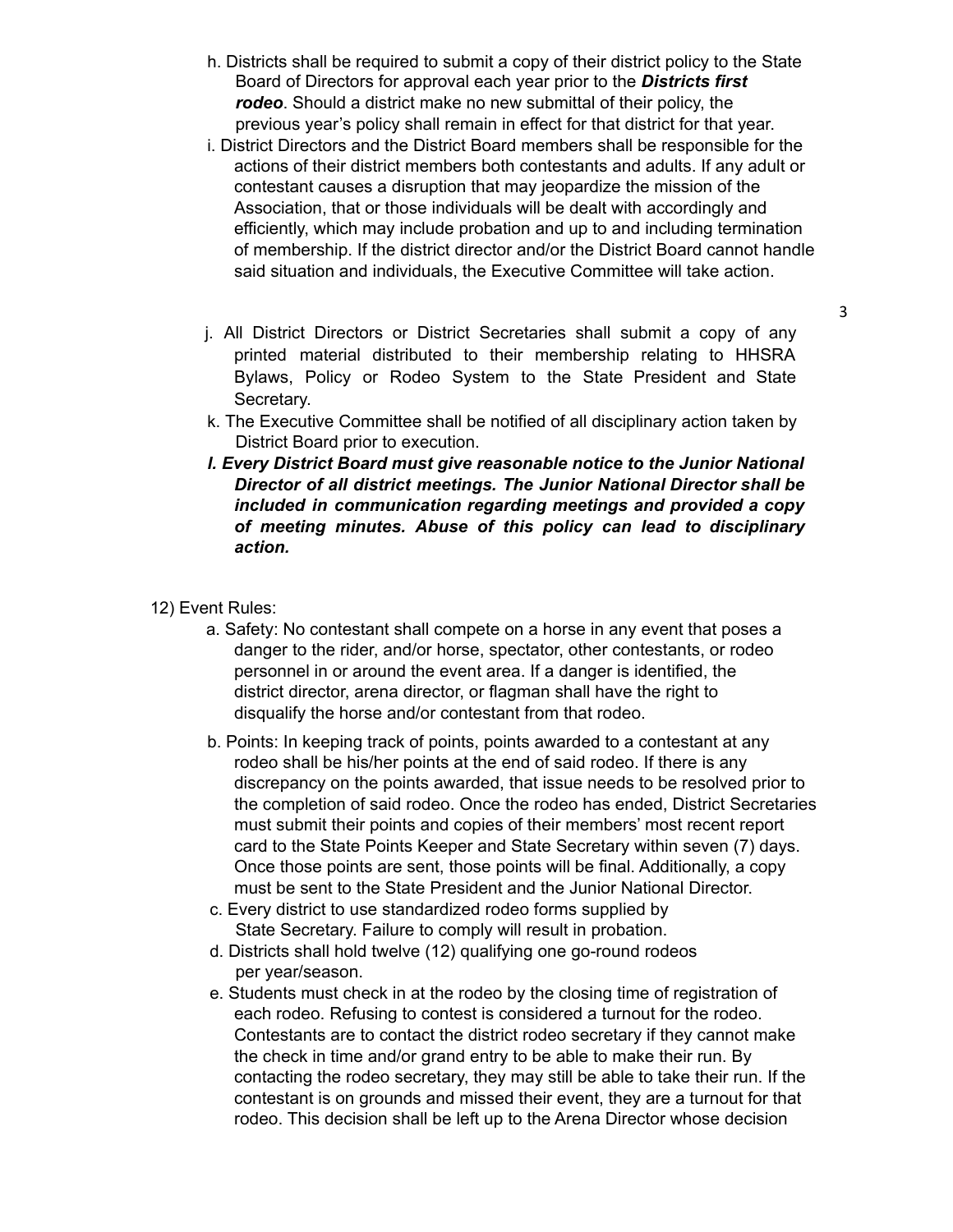- h. Districts shall be required to submit a copy of their district policy to the State Board of Directors for approval each year prior to the *Districts first rodeo*. Should a district make no new submittal of their policy, the previous year's policy shall remain in effect for that district for that year.
- i. District Directors and the District Board members shall be responsible for the actions of their district members both contestants and adults. If any adult or contestant causes a disruption that may jeopardize the mission of the Association, that or those individuals will be dealt with accordingly and efficiently, which may include probation and up to and including termination of membership. If the district director and/or the District Board cannot handle said situation and individuals, the Executive Committee will take action.
- j. All District Directors or District Secretaries shall submit a copy of any printed material distributed to their membership relating to HHSRA Bylaws, Policy or Rodeo System to the State President and State Secretary.
- k. The Executive Committee shall be notified of all disciplinary action taken by District Board prior to execution.
- *l. Every District Board must give reasonable notice to the Junior National Director of all district meetings. The Junior National Director shall be included in communication regarding meetings and provided a copy of meeting minutes. Abuse of this policy can lead to disciplinary action.*
- 12) Event Rules:
	- a. Safety: No contestant shall compete on a horse in any event that poses a danger to the rider, and/or horse, spectator, other contestants, or rodeo personnel in or around the event area. If a danger is identified, the district director, arena director, or flagman shall have the right to disqualify the horse and/or contestant from that rodeo.
	- b. Points: In keeping track of points, points awarded to a contestant at any rodeo shall be his/her points at the end of said rodeo. If there is any discrepancy on the points awarded, that issue needs to be resolved prior to the completion of said rodeo. Once the rodeo has ended, District Secretaries must submit their points and copies of their members' most recent report card to the State Points Keeper and State Secretary within seven (7) days. Once those points are sent, those points will be final. Additionally, a copy must be sent to the State President and the Junior National Director.
	- c. Every district to use standardized rodeo forms supplied by State Secretary. Failure to comply will result in probation.
	- d. Districts shall hold twelve (12) qualifying one go-round rodeos per year/season.
	- e. Students must check in at the rodeo by the closing time of registration of each rodeo. Refusing to contest is considered a turnout for the rodeo. Contestants are to contact the district rodeo secretary if they cannot make the check in time and/or grand entry to be able to make their run. By contacting the rodeo secretary, they may still be able to take their run. If the contestant is on grounds and missed their event, they are a turnout for that rodeo. This decision shall be left up to the Arena Director whose decision

3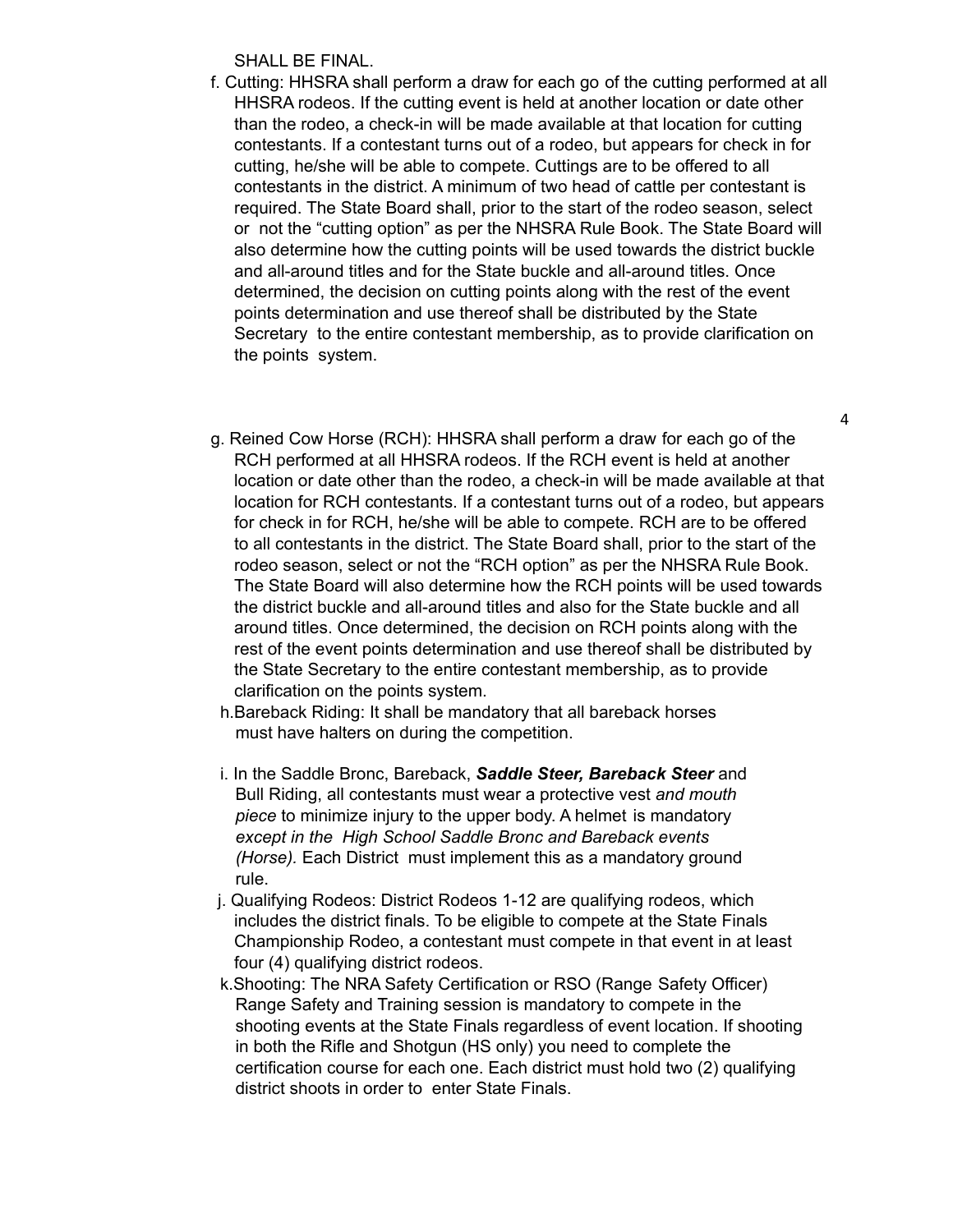SHALL BE FINAL.

- f. Cutting: HHSRA shall perform a draw for each go of the cutting performed at all HHSRA rodeos. If the cutting event is held at another location or date other than the rodeo, a check-in will be made available at that location for cutting contestants. If a contestant turns out of a rodeo, but appears for check in for cutting, he/she will be able to compete. Cuttings are to be offered to all contestants in the district. A minimum of two head of cattle per contestant is required. The State Board shall, prior to the start of the rodeo season, select or not the "cutting option" as per the NHSRA Rule Book. The State Board will also determine how the cutting points will be used towards the district buckle and all-around titles and for the State buckle and all-around titles. Once determined, the decision on cutting points along with the rest of the event points determination and use thereof shall be distributed by the State Secretary to the entire contestant membership, as to provide clarification on the points system.
- g. Reined Cow Horse (RCH): HHSRA shall perform a draw for each go of the RCH performed at all HHSRA rodeos. If the RCH event is held at another location or date other than the rodeo, a check-in will be made available at that location for RCH contestants. If a contestant turns out of a rodeo, but appears for check in for RCH, he/she will be able to compete. RCH are to be offered to all contestants in the district. The State Board shall, prior to the start of the rodeo season, select or not the "RCH option" as per the NHSRA Rule Book. The State Board will also determine how the RCH points will be used towards the district buckle and all-around titles and also for the State buckle and all around titles. Once determined, the decision on RCH points along with the rest of the event points determination and use thereof shall be distributed by the State Secretary to the entire contestant membership, as to provide clarification on the points system.
	- h.Bareback Riding: It shall be mandatory that all bareback horses must have halters on during the competition.
	- i. In the Saddle Bronc, Bareback, *Saddle Steer, Bareback Steer* and Bull Riding, all contestants must wear a protective vest *and mouth piece* to minimize injury to the upper body. A helmet is mandatory *except in the High School Saddle Bronc and Bareback events (Horse).* Each District must implement this as a mandatory ground rule.
- j. Qualifying Rodeos: District Rodeos 1-12 are qualifying rodeos, which includes the district finals. To be eligible to compete at the State Finals Championship Rodeo, a contestant must compete in that event in at least four (4) qualifying district rodeos.
- k.Shooting: The NRA Safety Certification or RSO (Range Safety Officer) Range Safety and Training session is mandatory to compete in the shooting events at the State Finals regardless of event location. If shooting in both the Rifle and Shotgun (HS only) you need to complete the certification course for each one. Each district must hold two (2) qualifying district shoots in order to enter State Finals.

4